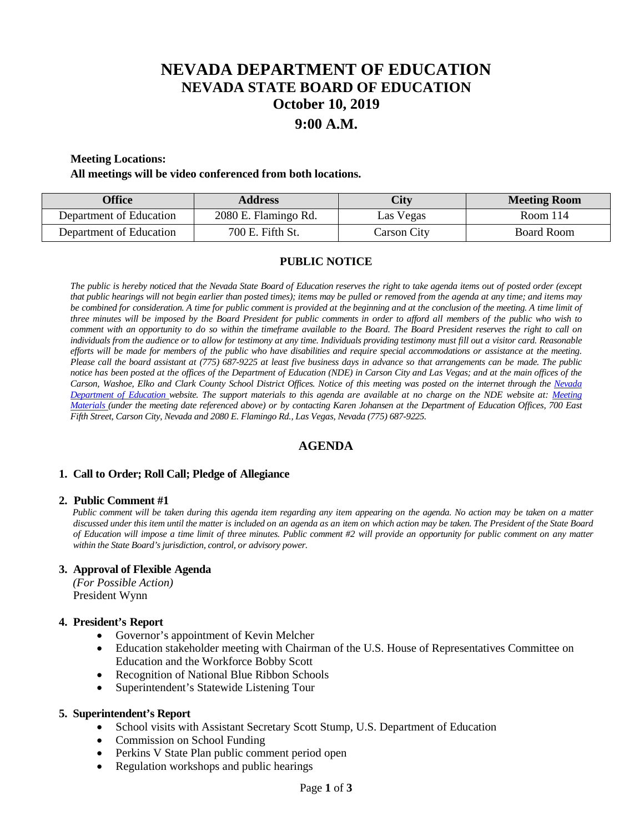# **NEVADA DEPARTMENT OF EDUCATION NEVADA STATE BOARD OF EDUCATION October 10, 2019 9:00 A.M.**

## **Meeting Locations:**

#### **All meetings will be video conferenced from both locations.**

| Office                  | <b>Address</b>       | City        | <b>Meeting Room</b> |
|-------------------------|----------------------|-------------|---------------------|
| Department of Education | 2080 E. Flamingo Rd. | Las Vegas   | Room 114            |
| Department of Education | 700 E. Fifth St.     | Carson City | Board Room          |

# **PUBLIC NOTICE**

*The public is hereby noticed that the Nevada State Board of Education reserves the right to take agenda items out of posted order (except that public hearings will not begin earlier than posted times); items may be pulled or removed from the agenda at any time; and items may* be combined for consideration. A time for public comment is provided at the beginning and at the conclusion of the meeting. A time limit of *three minutes will be imposed by the Board President for public comments in order to afford all members of the public who wish to comment with an opportunity to do so within the timeframe available to the Board. The Board President reserves the right to call on individuals from the audience or to allow for testimony at any time. Individuals providing testimony must fill out a visitor card. Reasonable efforts will be made for members of the public who have disabilities and require special accommodations or assistance at the meeting. Please call the board assistant at (775) 687-9225 at least five business days in advance so that arrangements can be made. The public notice has been posted at the offices of the Department of Education (NDE) in Carson City and Las Vegas; and at the main offices of the Carson, Washoe, Elko and Clark County School District Offices. Notice of this meeting was posted on the internet through the Nevada Department of Education website. The support materials to this agenda are available at no charge on the NDE website at: [Meeting](http://www.doe.nv.gov/Boards_Commissions_Councils/State_Board_of_Education/MeetingMaterials/)  [Materials](http://www.doe.nv.gov/Boards_Commissions_Councils/State_Board_of_Education/MeetingMaterials/) (under the meeting date referenced above) or by contacting Karen Johansen at the Department of Education Offices, 700 East Fifth Street, Carson City, Nevada and 2080 E. Flamingo Rd., Las Vegas, Nevada (775) 687-9225.* 

# **AGENDA**

#### **1. Call to Order; Roll Call; Pledge of Allegiance**

#### **2. Public Comment #1**

 *Public comment will be taken during this agenda item regarding any item appearing on the agenda. No action may be taken on a matter discussed under this item until the matter is included on an agenda as an item on which action may be taken. The President of the State Board of Education will impose a time limit of three minutes. Public comment #2 will provide an opportunity for public comment on any matter within the State Board's jurisdiction, control, or advisory power.*

#### **3. Approval of Flexible Agenda**

*(For Possible Action)*  President Wynn

#### **4. President's Report**

- Governor's appointment of Kevin Melcher
- Education stakeholder meeting with Chairman of the U.S. House of Representatives Committee on Education and the Workforce Bobby Scott
- Recognition of National Blue Ribbon Schools
- Superintendent's Statewide Listening Tour

#### **5. Superintendent's Report**

- School visits with Assistant Secretary Scott Stump, U.S. Department of Education
- Commission on School Funding
- Perkins V State Plan public comment period open
- Regulation workshops and public hearings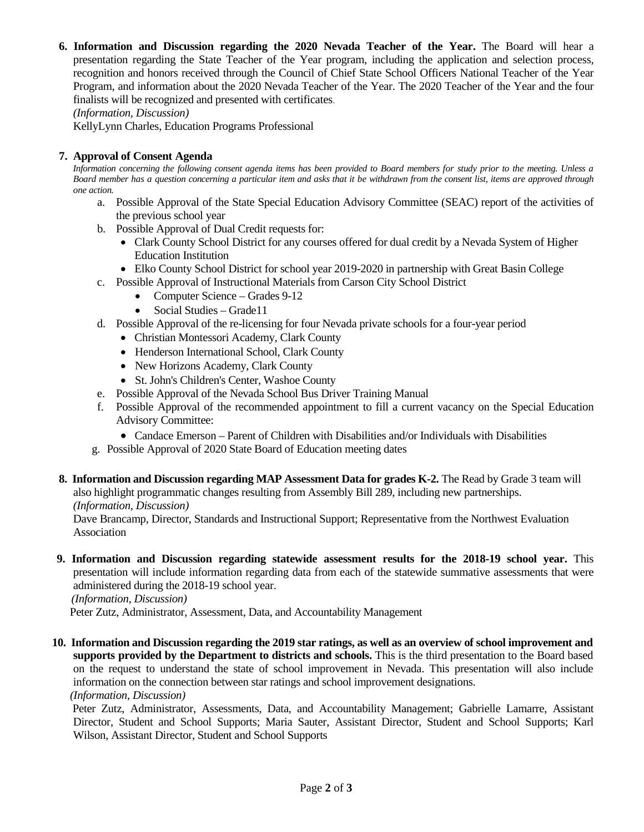- **6. Information and Discussion regarding the 2020 Nevada Teacher of the Year.** The Board will hear a presentation regarding the State Teacher of the Year program, including the application and selection process, recognition and honors received through the Council of Chief State School Officers National Teacher of the Year Program, and information about the 2020 Nevada Teacher of the Year. The 2020 Teacher of the Year and the four finalists will be recognized and presented with certificates.
	- *(Information, Discussion)*

KellyLynn Charles, Education Programs Professional

# **7. Approval of Consent Agenda**

 *Information concerning the following consent agenda items has been provided to Board members for study prior to the meeting. Unless a Board member has a question concerning a particular item and asks that it be withdrawn from the consent list, items are approved through one action.*

- a. Possible Approval of the State Special Education Advisory Committee (SEAC) report of the activities of the previous school year
- b. Possible Approval of Dual Credit requests for:
	- Clark County School District for any courses offered for dual credit by a Nevada System of Higher Education Institution
	- Elko County School District for school year 2019-2020 in partnership with Great Basin College
- c. Possible Approval of Instructional Materials from Carson City School District
	- Computer Science Grades 9-12
	- Social Studies Grade11
- d. Possible Approval of the re-licensing for four Nevada private schools for a four-year period
	- Christian Montessori Academy, Clark County
	- Henderson International School, Clark County
	- New Horizons Academy, Clark County
	- St. John's Children's Center, Washoe County
- e. Possible Approval of the Nevada School Bus Driver Training Manual
- f. Possible Approval of the recommended appointment to fill a current vacancy on the Special Education Advisory Committee:
	- Candace Emerson Parent of Children with Disabilities and/or Individuals with Disabilities
- g. Possible Approval of 2020 State Board of Education meeting dates
- **8. Information and Discussion regarding MAP Assessment Data for grades K-2.** The Read by Grade 3 team will also highlight programmatic changes resulting from Assembly Bill 289, including new partnerships.

*(Information, Discussion)*

Dave Brancamp, Director, Standards and Instructional Support; Representative from the Northwest Evaluation Association

**9. Information and Discussion regarding statewide assessment results for the 2018-19 school year.** This presentation will include information regarding data from each of the statewide summative assessments that were administered during the 2018-19 school year.

*(Information, Discussion)*

Peter Zutz, Administrator, Assessment, Data, and Accountability Management

**10. Information and Discussion regarding the 2019 star ratings, as well as an overview of school improvement and supports provided by the Department to districts and schools.** This is the third presentation to the Board based on the request to understand the state of school improvement in Nevada. This presentation will also include information on the connection between star ratings and school improvement designations. *(Information, Discussion)*

 Peter Zutz, Administrator, Assessments, Data, and Accountability Management; Gabrielle Lamarre, Assistant Director, Student and School Supports; Maria Sauter, Assistant Director, Student and School Supports; Karl Wilson, Assistant Director, Student and School Supports